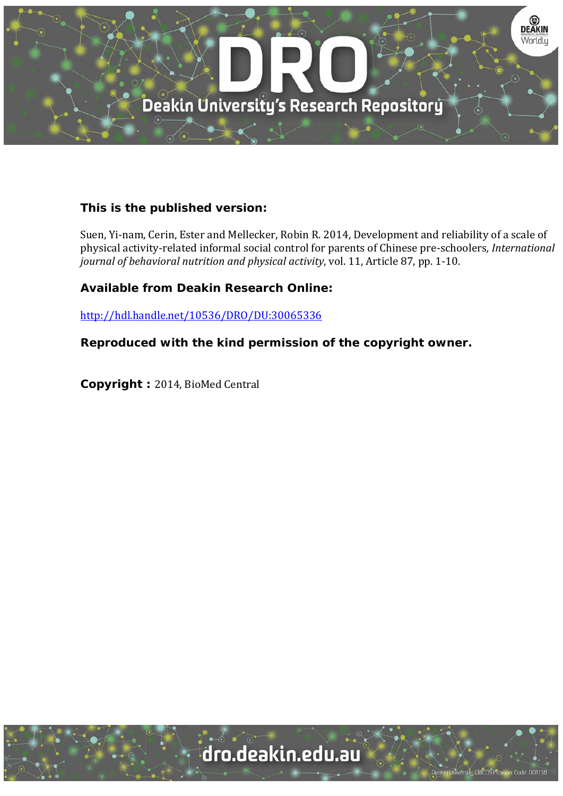

# **This is the published version:**

Suen, Yi-nam, Cerin, Ester and Mellecker, Robin R. 2014, Development and reliability of a scale of physical activity‐related informal social control for parents of Chinese pre‐schoolers*, International journal of behavioral nutrition and physical activity*, vol. 11, Article 87, pp. 1‐10. 

**Available from Deakin Research Online:** 

http://hdl.handle.net/10536/DRO/DU:30065336

**Reproduced with the kind permission of the copyright owner.** 

**Copyright : 2014, BioMed Central** 

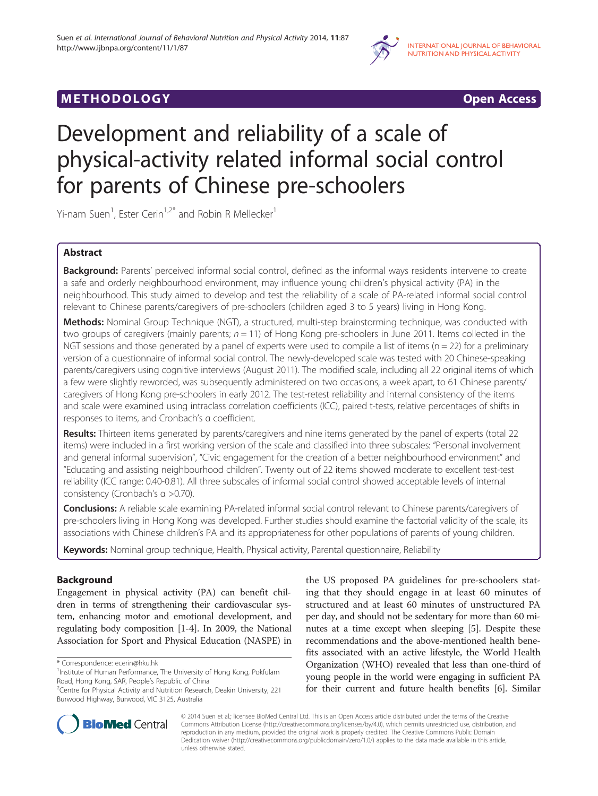

# **METHODOLOGY CONSUMING ACCESS**



# Development and reliability of a scale of physical-activity related informal social control for parents of Chinese pre-schoolers

Yi-nam Suen<sup>1</sup>, Ester Cerin<sup>1,2\*</sup> and Robin R Mellecker<sup>1</sup>

# Abstract

Background: Parents' perceived informal social control, defined as the informal ways residents intervene to create a safe and orderly neighbourhood environment, may influence young children's physical activity (PA) in the neighbourhood. This study aimed to develop and test the reliability of a scale of PA-related informal social control relevant to Chinese parents/caregivers of pre-schoolers (children aged 3 to 5 years) living in Hong Kong.

Methods: Nominal Group Technique (NGT), a structured, multi-step brainstorming technique, was conducted with two groups of caregivers (mainly parents;  $n = 11$ ) of Hong Kong pre-schoolers in June 2011. Items collected in the NGT sessions and those generated by a panel of experts were used to compile a list of items ( $n = 22$ ) for a preliminary version of a questionnaire of informal social control. The newly-developed scale was tested with 20 Chinese-speaking parents/caregivers using cognitive interviews (August 2011). The modified scale, including all 22 original items of which a few were slightly reworded, was subsequently administered on two occasions, a week apart, to 61 Chinese parents/ caregivers of Hong Kong pre-schoolers in early 2012. The test-retest reliability and internal consistency of the items and scale were examined using intraclass correlation coefficients (ICC), paired t-tests, relative percentages of shifts in responses to items, and Cronbach's α coefficient.

Results: Thirteen items generated by parents/caregivers and nine items generated by the panel of experts (total 22 items) were included in a first working version of the scale and classified into three subscales: "Personal involvement and general informal supervision", "Civic engagement for the creation of a better neighbourhood environment" and "Educating and assisting neighbourhood children". Twenty out of 22 items showed moderate to excellent test-test reliability (ICC range: 0.40-0.81). All three subscales of informal social control showed acceptable levels of internal consistency (Cronbach's α >0.70).

Conclusions: A reliable scale examining PA-related informal social control relevant to Chinese parents/caregivers of pre-schoolers living in Hong Kong was developed. Further studies should examine the factorial validity of the scale, its associations with Chinese children's PA and its appropriateness for other populations of parents of young children.

Keywords: Nominal group technique, Health, Physical activity, Parental questionnaire, Reliability

# Background

Engagement in physical activity (PA) can benefit children in terms of strengthening their cardiovascular system, enhancing motor and emotional development, and regulating body composition [\[1-4](#page-9-0)]. In 2009, the National Association for Sport and Physical Education (NASPE) in

\* Correspondence: [ecerin@hku.hk](mailto:ecerin@hku.hk) <sup>1</sup>

the US proposed PA guidelines for pre-schoolers stating that they should engage in at least 60 minutes of structured and at least 60 minutes of unstructured PA per day, and should not be sedentary for more than 60 minutes at a time except when sleeping [\[5](#page-9-0)]. Despite these recommendations and the above-mentioned health benefits associated with an active lifestyle, the World Health Organization (WHO) revealed that less than one-third of young people in the world were engaging in sufficient PA for their current and future health benefits [\[6](#page-9-0)]. Similar



© 2014 Suen et al.; licensee BioMed Central Ltd. This is an Open Access article distributed under the terms of the Creative Commons Attribution License [\(http://creativecommons.org/licenses/by/4.0\)](http://creativecommons.org/licenses/by/4.0), which permits unrestricted use, distribution, and reproduction in any medium, provided the original work is properly credited. The Creative Commons Public Domain Dedication waiver [\(http://creativecommons.org/publicdomain/zero/1.0/](http://creativecommons.org/publicdomain/zero/1.0/)) applies to the data made available in this article, unless otherwise stated.

 $1$ Institute of Human Performance, The University of Hong Kong, Pokfulam Road, Hong Kong, SAR, People's Republic of China <sup>2</sup>

<sup>&</sup>lt;sup>2</sup>Centre for Physical Activity and Nutrition Research, Deakin University, 221 Burwood Highway, Burwood, VIC 3125, Australia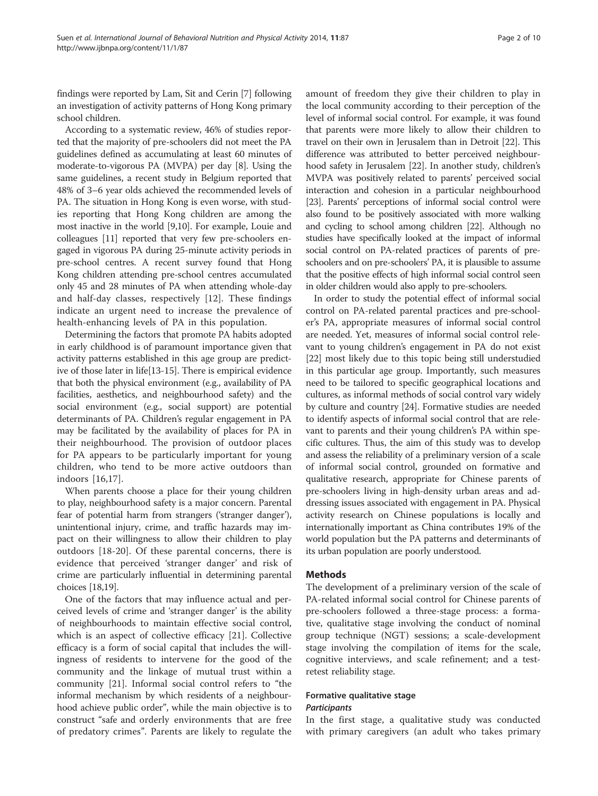findings were reported by Lam, Sit and Cerin [\[7\]](#page-9-0) following an investigation of activity patterns of Hong Kong primary school children.

According to a systematic review, 46% of studies reported that the majority of pre-schoolers did not meet the PA guidelines defined as accumulating at least 60 minutes of moderate-to-vigorous PA (MVPA) per day [\[8](#page-9-0)]. Using the same guidelines, a recent study in Belgium reported that 48% of 3–6 year olds achieved the recommended levels of PA. The situation in Hong Kong is even worse, with studies reporting that Hong Kong children are among the most inactive in the world [[9,10](#page-9-0)]. For example, Louie and colleagues [[11](#page-9-0)] reported that very few pre-schoolers engaged in vigorous PA during 25-minute activity periods in pre-school centres. A recent survey found that Hong Kong children attending pre-school centres accumulated only 45 and 28 minutes of PA when attending whole-day and half-day classes, respectively [\[12](#page-9-0)]. These findings indicate an urgent need to increase the prevalence of health-enhancing levels of PA in this population.

Determining the factors that promote PA habits adopted in early childhood is of paramount importance given that activity patterns established in this age group are predictive of those later in life[[13](#page-9-0)-[15](#page-9-0)]. There is empirical evidence that both the physical environment (e.g., availability of PA facilities, aesthetics, and neighbourhood safety) and the social environment (e.g., social support) are potential determinants of PA. Children's regular engagement in PA may be facilitated by the availability of places for PA in their neighbourhood. The provision of outdoor places for PA appears to be particularly important for young children, who tend to be more active outdoors than indoors [\[16](#page-9-0),[17\]](#page-9-0).

When parents choose a place for their young children to play, neighbourhood safety is a major concern. Parental fear of potential harm from strangers ('stranger danger'), unintentional injury, crime, and traffic hazards may impact on their willingness to allow their children to play outdoors [[18-20](#page-9-0)]. Of these parental concerns, there is evidence that perceived 'stranger danger' and risk of crime are particularly influential in determining parental choices [[18,19](#page-9-0)].

One of the factors that may influence actual and perceived levels of crime and 'stranger danger' is the ability of neighbourhoods to maintain effective social control, which is an aspect of collective efficacy [[21\]](#page-10-0). Collective efficacy is a form of social capital that includes the willingness of residents to intervene for the good of the community and the linkage of mutual trust within a community [\[21](#page-10-0)]. Informal social control refers to "the informal mechanism by which residents of a neighbourhood achieve public order", while the main objective is to construct "safe and orderly environments that are free of predatory crimes". Parents are likely to regulate the

amount of freedom they give their children to play in the local community according to their perception of the level of informal social control. For example, it was found that parents were more likely to allow their children to travel on their own in Jerusalem than in Detroit [\[22\]](#page-10-0). This difference was attributed to better perceived neighbourhood safety in Jerusalem [\[22\]](#page-10-0). In another study, children's MVPA was positively related to parents' perceived social interaction and cohesion in a particular neighbourhood [[23](#page-10-0)]. Parents' perceptions of informal social control were also found to be positively associated with more walking and cycling to school among children [\[22](#page-10-0)]. Although no studies have specifically looked at the impact of informal social control on PA-related practices of parents of preschoolers and on pre-schoolers' PA, it is plausible to assume that the positive effects of high informal social control seen in older children would also apply to pre-schoolers.

In order to study the potential effect of informal social control on PA-related parental practices and pre-schooler's PA, appropriate measures of informal social control are needed. Yet, measures of informal social control relevant to young children's engagement in PA do not exist [[22](#page-10-0)] most likely due to this topic being still understudied in this particular age group. Importantly, such measures need to be tailored to specific geographical locations and cultures, as informal methods of social control vary widely by culture and country [\[24\]](#page-10-0). Formative studies are needed to identify aspects of informal social control that are relevant to parents and their young children's PA within specific cultures. Thus, the aim of this study was to develop and assess the reliability of a preliminary version of a scale of informal social control, grounded on formative and qualitative research, appropriate for Chinese parents of pre-schoolers living in high-density urban areas and addressing issues associated with engagement in PA. Physical activity research on Chinese populations is locally and internationally important as China contributes 19% of the world population but the PA patterns and determinants of its urban population are poorly understood.

## Methods

The development of a preliminary version of the scale of PA-related informal social control for Chinese parents of pre-schoolers followed a three-stage process: a formative, qualitative stage involving the conduct of nominal group technique (NGT) sessions; a scale-development stage involving the compilation of items for the scale, cognitive interviews, and scale refinement; and a testretest reliability stage.

#### Formative qualitative stage **Participants**

In the first stage, a qualitative study was conducted with primary caregivers (an adult who takes primary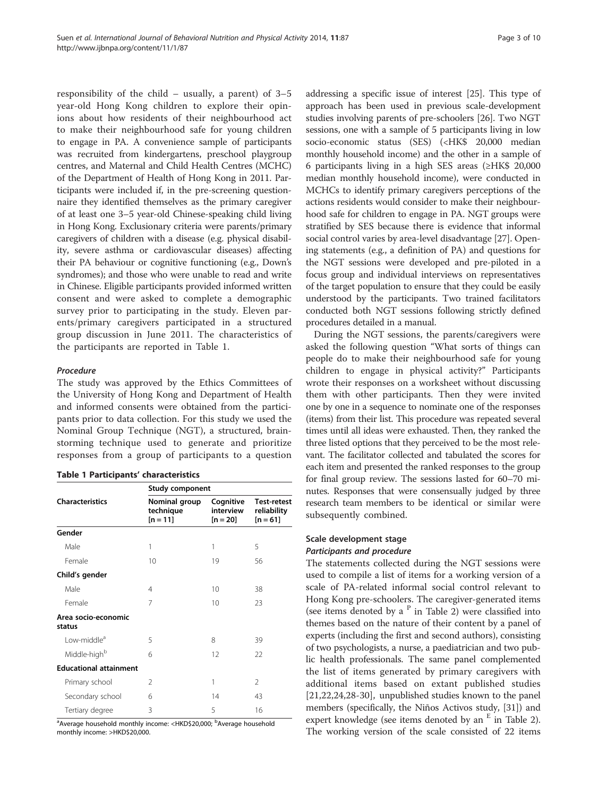<span id="page-3-0"></span>responsibility of the child – usually, a parent) of 3–5 year-old Hong Kong children to explore their opinions about how residents of their neighbourhood act to make their neighbourhood safe for young children to engage in PA. A convenience sample of participants was recruited from kindergartens, preschool playgroup centres, and Maternal and Child Health Centres (MCHC) of the Department of Health of Hong Kong in 2011. Participants were included if, in the pre-screening questionnaire they identified themselves as the primary caregiver of at least one 3–5 year-old Chinese-speaking child living in Hong Kong. Exclusionary criteria were parents/primary caregivers of children with a disease (e.g. physical disability, severe asthma or cardiovascular diseases) affecting their PA behaviour or cognitive functioning (e.g., Down's syndromes); and those who were unable to read and write in Chinese. Eligible participants provided informed written consent and were asked to complete a demographic survey prior to participating in the study. Eleven parents/primary caregivers participated in a structured group discussion in June 2011. The characteristics of the participants are reported in Table 1.

#### Procedure

The study was approved by the Ethics Committees of the University of Hong Kong and Department of Health and informed consents were obtained from the participants prior to data collection. For this study we used the Nominal Group Technique (NGT), a structured, brainstorming technique used to generate and prioritize responses from a group of participants to a question

|  |  | Table 1 Participants' characteristics |
|--|--|---------------------------------------|
|--|--|---------------------------------------|

|                               | <b>Study component</b>                   |                                      |                                                 |  |  |  |  |  |  |
|-------------------------------|------------------------------------------|--------------------------------------|-------------------------------------------------|--|--|--|--|--|--|
| <b>Characteristics</b>        | Nominal group<br>technique<br>$[n = 11]$ | Cognitive<br>interview<br>$[n = 20]$ | <b>Test-retest</b><br>reliability<br>$[n = 61]$ |  |  |  |  |  |  |
| Gender                        |                                          |                                      |                                                 |  |  |  |  |  |  |
| Male                          | 1                                        | 1                                    | 5                                               |  |  |  |  |  |  |
| Female                        | 10                                       | 19                                   | 56                                              |  |  |  |  |  |  |
| Child's gender                |                                          |                                      |                                                 |  |  |  |  |  |  |
| Male                          | 4                                        | 10                                   | 38                                              |  |  |  |  |  |  |
| Female                        | 7                                        | 10                                   | 23                                              |  |  |  |  |  |  |
| Area socio-economic<br>status |                                          |                                      |                                                 |  |  |  |  |  |  |
| Low-middle <sup>a</sup>       | 5                                        | 8                                    | 39                                              |  |  |  |  |  |  |
| Middle-highb                  | 6                                        | 12                                   | 22                                              |  |  |  |  |  |  |
| <b>Educational attainment</b> |                                          |                                      |                                                 |  |  |  |  |  |  |
| Primary school                | $\mathfrak{D}$                           | 1                                    | 2                                               |  |  |  |  |  |  |
| Secondary school              | 6                                        | 14                                   | 43                                              |  |  |  |  |  |  |
| Tertiary degree               | 3                                        | 5                                    | 16                                              |  |  |  |  |  |  |

<sup>a</sup>Average household monthly income: <HKD\$20,000; <sup>b</sup>Average household monthly income: >HKD\$20,000.

addressing a specific issue of interest [[25\]](#page-10-0). This type of approach has been used in previous scale-development studies involving parents of pre-schoolers [\[26](#page-10-0)]. Two NGT sessions, one with a sample of 5 participants living in low socio-economic status (SES) (<HK\$ 20,000 median monthly household income) and the other in a sample of 6 participants living in a high SES areas (≥HK\$ 20,000 median monthly household income), were conducted in MCHCs to identify primary caregivers perceptions of the actions residents would consider to make their neighbourhood safe for children to engage in PA. NGT groups were stratified by SES because there is evidence that informal social control varies by area-level disadvantage [\[27\]](#page-10-0). Opening statements (e.g., a definition of PA) and questions for the NGT sessions were developed and pre-piloted in a focus group and individual interviews on representatives of the target population to ensure that they could be easily understood by the participants. Two trained facilitators conducted both NGT sessions following strictly defined procedures detailed in a manual.

During the NGT sessions, the parents/caregivers were asked the following question "What sorts of things can people do to make their neighbourhood safe for young children to engage in physical activity?" Participants wrote their responses on a worksheet without discussing them with other participants. Then they were invited one by one in a sequence to nominate one of the responses (items) from their list. This procedure was repeated several times until all ideas were exhausted. Then, they ranked the three listed options that they perceived to be the most relevant. The facilitator collected and tabulated the scores for each item and presented the ranked responses to the group for final group review. The sessions lasted for 60–70 minutes. Responses that were consensually judged by three research team members to be identical or similar were subsequently combined.

## Scale development stage

## Participants and procedure

The statements collected during the NGT sessions were used to compile a list of items for a working version of a scale of PA-related informal social control relevant to Hong Kong pre-schoolers. The caregiver-generated items (see items denoted by a  $P$  in Table [2](#page-4-0)) were classified into themes based on the nature of their content by a panel of experts (including the first and second authors), consisting of two psychologists, a nurse, a paediatrician and two public health professionals. The same panel complemented the list of items generated by primary caregivers with additional items based on extant published studies [[21,22,24](#page-10-0),[28-30](#page-10-0)], unpublished studies known to the panel members (specifically, the Niños Activos study, [\[31\]](#page-10-0)) and expert knowledge (see items denoted by an  $E$  in Table [2](#page-4-0)). The working version of the scale consisted of 22 items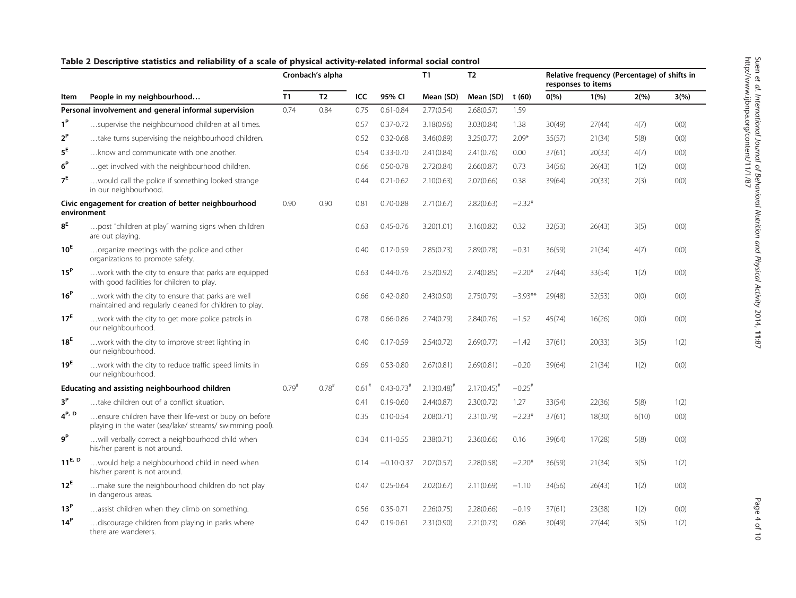|                                                       |                                                                                                                    |            | Cronbach's alpha    |          |                            | T1               | T <sub>2</sub>   |                      | Relative frequency (Percentage) of shifts in<br>responses to items |        |       |      |
|-------------------------------------------------------|--------------------------------------------------------------------------------------------------------------------|------------|---------------------|----------|----------------------------|------------------|------------------|----------------------|--------------------------------------------------------------------|--------|-------|------|
| Item                                                  | People in my neighbourhood                                                                                         | T1         | T <sub>2</sub>      | ICC      | 95% CI                     | Mean (SD)        | Mean (SD)        | t(60)                | O(%)                                                               | 1(%)   | 2(%)  | 3(%) |
| Personal involvement and general informal supervision |                                                                                                                    | 0.74       | 0.84                | 0.75     | $0.61 - 0.84$              | 2.77(0.54)       | 2.68(0.57)       | 1.59                 |                                                                    |        |       |      |
| $1^P$                                                 | supervise the neighbourhood children at all times.                                                                 |            |                     | 0.57     | $0.37 - 0.72$              | 3.18(0.96)       | 3.03(0.84)       | 1.38                 | 30(49)                                                             | 27(44) | 4(7)  | O(0) |
| $2^P$                                                 | take turns supervising the neighbourhood children.                                                                 |            |                     | 0.52     | $0.32 - 0.68$              | 3.46(0.89)       | 3.25(0.77)       | $2.09*$              | 35(57)                                                             | 21(34) | 5(8)  | O(0) |
| $5^{\sf E}$                                           | know and communicate with one another.                                                                             |            |                     | 0.54     | $0.33 - 0.70$              | 2.41(0.84)       | 2.41(0.76)       | 0.00                 | 37(61)                                                             | 20(33) | 4(7)  | O(0) |
| $6^P$                                                 | get involved with the neighbourhood children.                                                                      |            |                     | 0.66     | $0.50 - 0.78$              | 2.72(0.84)       | 2.66(0.87)       | 0.73                 | 34(56)                                                             | 26(43) | 1(2)  | O(0) |
| $7^E$                                                 | would call the police if something looked strange<br>in our neighbourhood.                                         |            |                     | 0.44     | $0.21 - 0.62$              | 2.10(0.63)       | 2.07(0.66)       | 0.38                 | 39(64)                                                             | 20(33) | 2(3)  | O(0) |
| environment                                           | Civic engagement for creation of better neighbourhood                                                              | 0.90       | 0.90                | 0.81     | $0.70 - 0.88$              | 2.71(0.67)       | 2.82(0.63)       | $-2.32*$             |                                                                    |        |       |      |
| $8^E$                                                 | post "children at play" warning signs when children<br>are out playing.                                            |            |                     | 0.63     | $0.45 - 0.76$              | 3.20(1.01)       | 3.16(0.82)       | 0.32                 | 32(53)                                                             | 26(43) | 3(5)  | O(0) |
| 10 <sup>E</sup>                                       | organize meetings with the police and other<br>organizations to promote safety.                                    |            |                     | 0.40     | $0.17 - 0.59$              | 2.85(0.73)       | 2.89(0.78)       | $-0.31$              | 36(59)                                                             | 21(34) | 4(7)  | O(0) |
| 15 <sup>P</sup>                                       | work with the city to ensure that parks are equipped<br>with good facilities for children to play.                 |            |                     | 0.63     | $0.44 - 0.76$              | 2.52(0.92)       | 2.74(0.85)       | $-2.20*$             | 27(44)                                                             | 33(54) | 1(2)  | O(0) |
| 16 <sup>P</sup>                                       | work with the city to ensure that parks are well<br>maintained and regularly cleaned for children to play.         |            |                     | 0.66     | $0.42 - 0.80$              | 2.43(0.90)       | 2.75(0.79)       | $-3.93**$            | 29(48)                                                             | 32(53) | O(0)  | O(0) |
| 17 <sup>E</sup>                                       | work with the city to get more police patrols in<br>our neighbourhood.                                             |            |                     | 0.78     | $0.66 - 0.86$              | 2.74(0.79)       | 2.84(0.76)       | $-1.52$              | 45(74)                                                             | 16(26) | O(0)  | O(0) |
| 18 <sup>E</sup>                                       | work with the city to improve street lighting in<br>our neighbourhood.                                             |            |                     | 0.40     | $0.17 - 0.59$              | 2.54(0.72)       | 2.69(0.77)       | $-1.42$              | 37(61)                                                             | 20(33) | 3(5)  | 1(2) |
| 19 <sup>E</sup>                                       | work with the city to reduce traffic speed limits in<br>our neighbourhood.                                         |            |                     | 0.69     | $0.53 - 0.80$              | 2.67(0.81)       | 2.69(0.81)       | $-0.20$              | 39(64)                                                             | 21(34) | 1(2)  | O(0) |
| Educating and assisting neighbourhood children        |                                                                                                                    | $0.79^{#}$ | $0.78$ <sup>#</sup> | $0.61$ # | $0.43 - 0.73$ <sup>#</sup> | $2.13(0.48)^{#}$ | $2.17(0.45)^{#}$ | $-0.25$ <sup>#</sup> |                                                                    |        |       |      |
| $3^P$                                                 | take children out of a conflict situation.                                                                         |            |                     | 0.41     | $0.19 - 0.60$              | 2.44(0.87)       | 2.30(0.72)       | 1.27                 | 33(54)                                                             | 22(36) | 5(8)  | 1(2) |
| $4^{P, D}$                                            | ensure children have their life-vest or buoy on before<br>playing in the water (sea/lake/ streams/ swimming pool). |            |                     | 0.35     | $0.10 - 0.54$              | 2.08(0.71)       | 2.31(0.79)       | $-2.23*$             | 37(61)                                                             | 18(30) | 6(10) | O(0) |
| $9^P$                                                 | will verbally correct a neighbourhood child when<br>his/her parent is not around.                                  |            |                     | 0.34     | $0.11 - 0.55$              | 2.38(0.71)       | 2.36(0.66)       | 0.16                 | 39(64)                                                             | 17(28) | 5(8)  | O(0) |
| $11^{E, D}$                                           | would help a neighbourhood child in need when<br>his/her parent is not around.                                     |            |                     | 0.14     | $-0.10 - 0.37$             | 2.07(0.57)       | 2.28(0.58)       | $-2.20*$             | 36(59)                                                             | 21(34) | 3(5)  | 1(2) |
| $12^E$                                                | make sure the neighbourhood children do not play<br>in dangerous areas.                                            |            |                     | 0.47     | $0.25 - 0.64$              | 2.02(0.67)       | 2.11(0.69)       | $-1.10$              | 34(56)                                                             | 26(43) | 1(2)  | O(0) |
| 13 <sup>P</sup>                                       | assist children when they climb on something.                                                                      |            |                     | 0.56     | $0.35 - 0.71$              | 2.26(0.75)       | 2.28(0.66)       | $-0.19$              | 37(61)                                                             | 23(38) | 1(2)  | O(0) |
| 14 <sup>P</sup>                                       | discourage children from playing in parks where<br>there are wanderers.                                            |            |                     | 0.42     | $0.19 - 0.61$              | 2.31(0.90)       | 2.21(0.73)       | 0.86                 | 30(49)                                                             | 27(44) | 3(5)  | 1(2) |

# <span id="page-4-0"></span>Table 2 Descriptive statistics and reliability of <sup>a</sup> scale of physical activity-related informal social control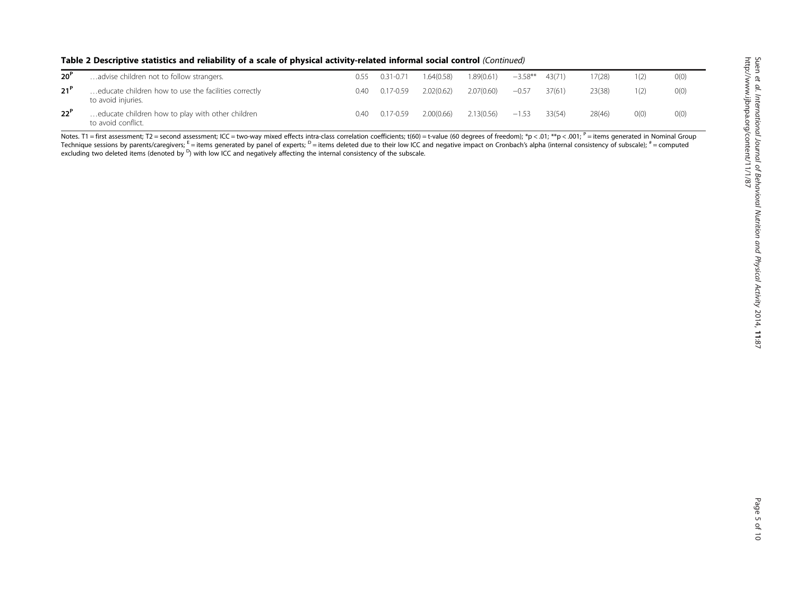Table 2 Descriptive statistics and reliability of <sup>a</sup> scale of physical activity-related informal social control (Continued)

| $20^P$          | advise children not to follow strangers.                                   | 0.55 | $0.31 - 0.71$        | 1.64(0.58) | 1.89(0.61) | $-3.58**$ | 43(71) | 17(28) | 1(2) | O(0) |
|-----------------|----------------------------------------------------------------------------|------|----------------------|------------|------------|-----------|--------|--------|------|------|
| 21 <sup>h</sup> | educate children how to use the facilities correctly<br>to avoid injuries. |      | $0.40$ $0.17 - 0.59$ | 2.02(0.62) | 2.07(0.60) | $-0.57$   | 37(61) | 23(38) | 1(2) | O(0) |
| $22^{\circ}$    | educate children how to play with other children<br>to avoid conflict.     | 0.40 | 0.17-0.59            | 2.00(0.66) | 2.13(0.56) | $-1.53$   | 33(54) | 28(46) | O(0) | O(0) |

Notes. T1 = first assessment; T2 = second assessment; ICC = two-way mixed effects intra-class correlation coefficients; t(60) = t-value (60 degrees of freedom); \*p < .01; \*\*p < .001; P = items generated in Nominal Group Technique sessions by parents/caregivers;  $E =$  items generated by panel of experts;  $D =$  items deleted due to their low ICC and negative impact on Cronbach's alpha (internal consistency of subscale);  $E =$  computed excluding two deleted items (denoted by  $P$ ) with low ICC and negatively affecting the internal consistency of the subscale.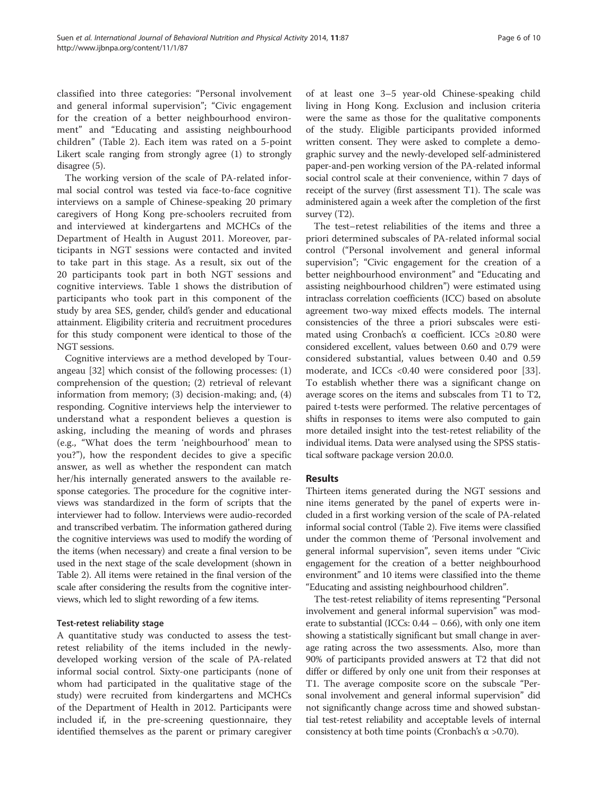classified into three categories: "Personal involvement and general informal supervision"; "Civic engagement for the creation of a better neighbourhood environment" and "Educating and assisting neighbourhood children" (Table [2](#page-4-0)). Each item was rated on a 5-point Likert scale ranging from strongly agree (1) to strongly disagree (5).

The working version of the scale of PA-related informal social control was tested via face-to-face cognitive interviews on a sample of Chinese-speaking 20 primary caregivers of Hong Kong pre-schoolers recruited from and interviewed at kindergartens and MCHCs of the Department of Health in August 2011. Moreover, participants in NGT sessions were contacted and invited to take part in this stage. As a result, six out of the 20 participants took part in both NGT sessions and cognitive interviews. Table [1](#page-3-0) shows the distribution of participants who took part in this component of the study by area SES, gender, child's gender and educational attainment. Eligibility criteria and recruitment procedures for this study component were identical to those of the NGT sessions.

Cognitive interviews are a method developed by Tourangeau [[32\]](#page-10-0) which consist of the following processes: (1) comprehension of the question; (2) retrieval of relevant information from memory; (3) decision-making; and, (4) responding. Cognitive interviews help the interviewer to understand what a respondent believes a question is asking, including the meaning of words and phrases (e.g., "What does the term 'neighbourhood' mean to you?"), how the respondent decides to give a specific answer, as well as whether the respondent can match her/his internally generated answers to the available response categories. The procedure for the cognitive interviews was standardized in the form of scripts that the interviewer had to follow. Interviews were audio-recorded and transcribed verbatim. The information gathered during the cognitive interviews was used to modify the wording of the items (when necessary) and create a final version to be used in the next stage of the scale development (shown in Table [2\)](#page-4-0). All items were retained in the final version of the scale after considering the results from the cognitive interviews, which led to slight rewording of a few items.

#### Test-retest reliability stage

A quantitative study was conducted to assess the testretest reliability of the items included in the newlydeveloped working version of the scale of PA-related informal social control. Sixty-one participants (none of whom had participated in the qualitative stage of the study) were recruited from kindergartens and MCHCs of the Department of Health in 2012. Participants were included if, in the pre-screening questionnaire, they identified themselves as the parent or primary caregiver

of at least one 3–5 year-old Chinese-speaking child living in Hong Kong. Exclusion and inclusion criteria were the same as those for the qualitative components of the study. Eligible participants provided informed written consent. They were asked to complete a demographic survey and the newly-developed self-administered paper-and-pen working version of the PA-related informal social control scale at their convenience, within 7 days of receipt of the survey (first assessment T1). The scale was administered again a week after the completion of the first survey (T2).

The test–retest reliabilities of the items and three a priori determined subscales of PA-related informal social control ("Personal involvement and general informal supervision"; "Civic engagement for the creation of a better neighbourhood environment" and "Educating and assisting neighbourhood children") were estimated using intraclass correlation coefficients (ICC) based on absolute agreement two-way mixed effects models. The internal consistencies of the three a priori subscales were estimated using Cronbach's α coefficient. ICCs ≥0.80 were considered excellent, values between 0.60 and 0.79 were considered substantial, values between 0.40 and 0.59 moderate, and ICCs <0.40 were considered poor [\[33](#page-10-0)]. To establish whether there was a significant change on average scores on the items and subscales from T1 to T2, paired t-tests were performed. The relative percentages of shifts in responses to items were also computed to gain more detailed insight into the test-retest reliability of the individual items. Data were analysed using the SPSS statistical software package version 20.0.0.

## Results

Thirteen items generated during the NGT sessions and nine items generated by the panel of experts were included in a first working version of the scale of PA-related informal social control (Table [2](#page-4-0)). Five items were classified under the common theme of 'Personal involvement and general informal supervision", seven items under "Civic engagement for the creation of a better neighbourhood environment" and 10 items were classified into the theme "Educating and assisting neighbourhood children".

The test-retest reliability of items representing "Personal involvement and general informal supervision" was moderate to substantial (ICCs:  $0.44 - 0.66$ ), with only one item showing a statistically significant but small change in average rating across the two assessments. Also, more than 90% of participants provided answers at T2 that did not differ or differed by only one unit from their responses at T1. The average composite score on the subscale "Personal involvement and general informal supervision" did not significantly change across time and showed substantial test-retest reliability and acceptable levels of internal consistency at both time points (Cronbach's  $\alpha$  >0.70).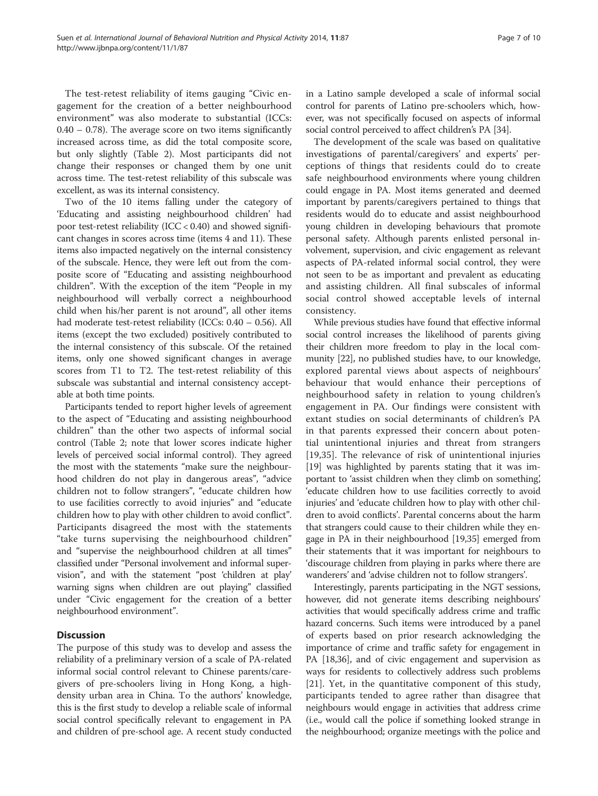The test-retest reliability of items gauging "Civic engagement for the creation of a better neighbourhood environment" was also moderate to substantial (ICCs: 0.40 – 0.78). The average score on two items significantly increased across time, as did the total composite score, but only slightly (Table [2](#page-4-0)). Most participants did not change their responses or changed them by one unit across time. The test-retest reliability of this subscale was excellent, as was its internal consistency.

Two of the 10 items falling under the category of 'Educating and assisting neighbourhood children' had poor test-retest reliability (ICC < 0.40) and showed significant changes in scores across time (items 4 and 11). These items also impacted negatively on the internal consistency of the subscale. Hence, they were left out from the composite score of "Educating and assisting neighbourhood children". With the exception of the item "People in my neighbourhood will verbally correct a neighbourhood child when his/her parent is not around", all other items had moderate test-retest reliability (ICCs: 0.40 – 0.56). All items (except the two excluded) positively contributed to the internal consistency of this subscale. Of the retained items, only one showed significant changes in average scores from T1 to T2. The test-retest reliability of this subscale was substantial and internal consistency acceptable at both time points.

Participants tended to report higher levels of agreement to the aspect of "Educating and assisting neighbourhood children" than the other two aspects of informal social control (Table [2](#page-4-0); note that lower scores indicate higher levels of perceived social informal control). They agreed the most with the statements "make sure the neighbourhood children do not play in dangerous areas", "advice children not to follow strangers", "educate children how to use facilities correctly to avoid injuries" and "educate children how to play with other children to avoid conflict". Participants disagreed the most with the statements "take turns supervising the neighbourhood children" and "supervise the neighbourhood children at all times" classified under "Personal involvement and informal supervision", and with the statement "post 'children at play' warning signs when children are out playing" classified under "Civic engagement for the creation of a better neighbourhood environment".

## **Discussion**

The purpose of this study was to develop and assess the reliability of a preliminary version of a scale of PA-related informal social control relevant to Chinese parents/caregivers of pre-schoolers living in Hong Kong, a highdensity urban area in China. To the authors' knowledge, this is the first study to develop a reliable scale of informal social control specifically relevant to engagement in PA and children of pre-school age. A recent study conducted

in a Latino sample developed a scale of informal social control for parents of Latino pre-schoolers which, however, was not specifically focused on aspects of informal social control perceived to affect children's PA [[34](#page-10-0)].

The development of the scale was based on qualitative investigations of parental/caregivers' and experts' perceptions of things that residents could do to create safe neighbourhood environments where young children could engage in PA. Most items generated and deemed important by parents/caregivers pertained to things that residents would do to educate and assist neighbourhood young children in developing behaviours that promote personal safety. Although parents enlisted personal involvement, supervision, and civic engagement as relevant aspects of PA-related informal social control, they were not seen to be as important and prevalent as educating and assisting children. All final subscales of informal social control showed acceptable levels of internal consistency.

While previous studies have found that effective informal social control increases the likelihood of parents giving their children more freedom to play in the local community [\[22\]](#page-10-0), no published studies have, to our knowledge, explored parental views about aspects of neighbours' behaviour that would enhance their perceptions of neighbourhood safety in relation to young children's engagement in PA. Our findings were consistent with extant studies on social determinants of children's PA in that parents expressed their concern about potential unintentional injuries and threat from strangers [[19](#page-9-0)[,35](#page-10-0)]. The relevance of risk of unintentional injuries [[19](#page-9-0)] was highlighted by parents stating that it was important to 'assist children when they climb on something', 'educate children how to use facilities correctly to avoid injuries' and 'educate children how to play with other children to avoid conflicts'. Parental concerns about the harm that strangers could cause to their children while they engage in PA in their neighbourhood [\[19](#page-9-0)[,35\]](#page-10-0) emerged from their statements that it was important for neighbours to 'discourage children from playing in parks where there are wanderers' and 'advise children not to follow strangers'.

Interestingly, parents participating in the NGT sessions, however, did not generate items describing neighbours' activities that would specifically address crime and traffic hazard concerns. Such items were introduced by a panel of experts based on prior research acknowledging the importance of crime and traffic safety for engagement in PA [\[18,](#page-9-0)[36](#page-10-0)], and of civic engagement and supervision as ways for residents to collectively address such problems [[21](#page-10-0)]. Yet, in the quantitative component of this study, participants tended to agree rather than disagree that neighbours would engage in activities that address crime (i.e., would call the police if something looked strange in the neighbourhood; organize meetings with the police and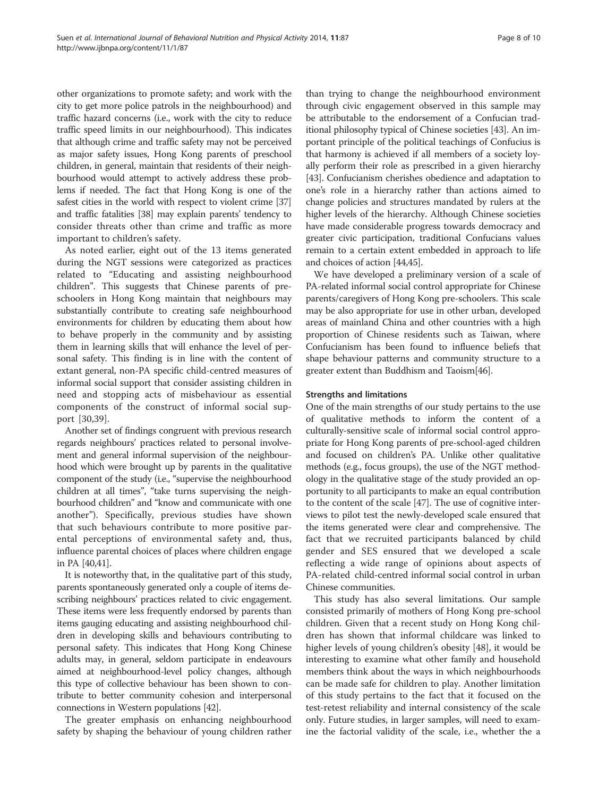other organizations to promote safety; and work with the city to get more police patrols in the neighbourhood) and traffic hazard concerns (i.e., work with the city to reduce traffic speed limits in our neighbourhood). This indicates that although crime and traffic safety may not be perceived as major safety issues, Hong Kong parents of preschool children, in general, maintain that residents of their neighbourhood would attempt to actively address these problems if needed. The fact that Hong Kong is one of the safest cities in the world with respect to violent crime [[37](#page-10-0)] and traffic fatalities [\[38\]](#page-10-0) may explain parents' tendency to consider threats other than crime and traffic as more important to children's safety.

As noted earlier, eight out of the 13 items generated during the NGT sessions were categorized as practices related to "Educating and assisting neighbourhood children". This suggests that Chinese parents of preschoolers in Hong Kong maintain that neighbours may substantially contribute to creating safe neighbourhood environments for children by educating them about how to behave properly in the community and by assisting them in learning skills that will enhance the level of personal safety. This finding is in line with the content of extant general, non-PA specific child-centred measures of informal social support that consider assisting children in need and stopping acts of misbehaviour as essential components of the construct of informal social support [\[30](#page-10-0),[39\]](#page-10-0).

Another set of findings congruent with previous research regards neighbours' practices related to personal involvement and general informal supervision of the neighbourhood which were brought up by parents in the qualitative component of the study (i.e., "supervise the neighbourhood children at all times", "take turns supervising the neighbourhood children" and "know and communicate with one another"). Specifically, previous studies have shown that such behaviours contribute to more positive parental perceptions of environmental safety and, thus, influence parental choices of places where children engage in PA [[40,41\]](#page-10-0).

It is noteworthy that, in the qualitative part of this study, parents spontaneously generated only a couple of items describing neighbours' practices related to civic engagement. These items were less frequently endorsed by parents than items gauging educating and assisting neighbourhood children in developing skills and behaviours contributing to personal safety. This indicates that Hong Kong Chinese adults may, in general, seldom participate in endeavours aimed at neighbourhood-level policy changes, although this type of collective behaviour has been shown to contribute to better community cohesion and interpersonal connections in Western populations [[42](#page-10-0)].

The greater emphasis on enhancing neighbourhood safety by shaping the behaviour of young children rather than trying to change the neighbourhood environment through civic engagement observed in this sample may be attributable to the endorsement of a Confucian traditional philosophy typical of Chinese societies [\[43\]](#page-10-0). An important principle of the political teachings of Confucius is that harmony is achieved if all members of a society loyally perform their role as prescribed in a given hierarchy [[43](#page-10-0)]. Confucianism cherishes obedience and adaptation to one's role in a hierarchy rather than actions aimed to change policies and structures mandated by rulers at the higher levels of the hierarchy. Although Chinese societies have made considerable progress towards democracy and greater civic participation, traditional Confucians values remain to a certain extent embedded in approach to life and choices of action [[44,45](#page-10-0)].

We have developed a preliminary version of a scale of PA-related informal social control appropriate for Chinese parents/caregivers of Hong Kong pre-schoolers. This scale may be also appropriate for use in other urban, developed areas of mainland China and other countries with a high proportion of Chinese residents such as Taiwan, where Confucianism has been found to influence beliefs that shape behaviour patterns and community structure to a greater extent than Buddhism and Taoism[\[46\]](#page-10-0).

#### Strengths and limitations

One of the main strengths of our study pertains to the use of qualitative methods to inform the content of a culturally-sensitive scale of informal social control appropriate for Hong Kong parents of pre-school-aged children and focused on children's PA. Unlike other qualitative methods (e.g., focus groups), the use of the NGT methodology in the qualitative stage of the study provided an opportunity to all participants to make an equal contribution to the content of the scale [\[47\]](#page-10-0). The use of cognitive interviews to pilot test the newly-developed scale ensured that the items generated were clear and comprehensive. The fact that we recruited participants balanced by child gender and SES ensured that we developed a scale reflecting a wide range of opinions about aspects of PA-related child-centred informal social control in urban Chinese communities.

This study has also several limitations. Our sample consisted primarily of mothers of Hong Kong pre-school children. Given that a recent study on Hong Kong children has shown that informal childcare was linked to higher levels of young children's obesity [\[48\]](#page-10-0), it would be interesting to examine what other family and household members think about the ways in which neighbourhoods can be made safe for children to play. Another limitation of this study pertains to the fact that it focused on the test-retest reliability and internal consistency of the scale only. Future studies, in larger samples, will need to examine the factorial validity of the scale, i.e., whether the a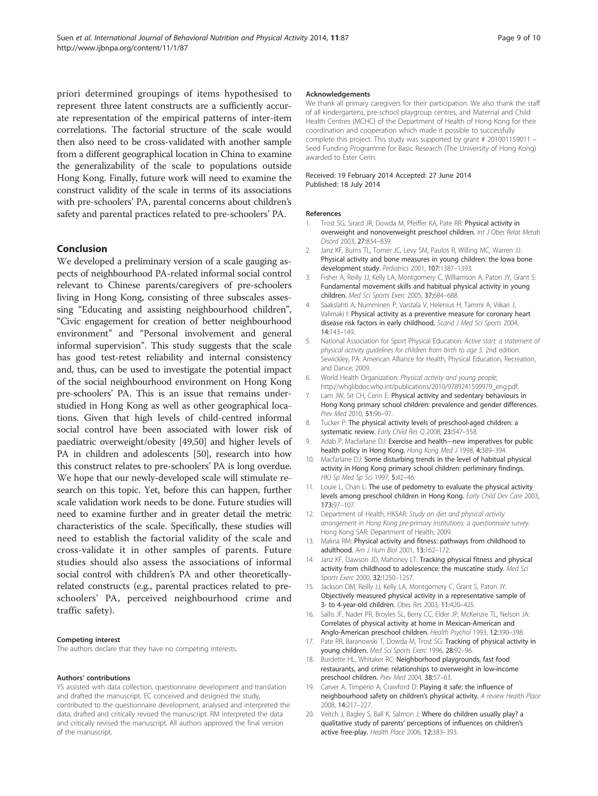<span id="page-9-0"></span>priori determined groupings of items hypothesised to represent three latent constructs are a sufficiently accurate representation of the empirical patterns of inter-item correlations. The factorial structure of the scale would then also need to be cross-validated with another sample from a different geographical location in China to examine the generalizability of the scale to populations outside Hong Kong. Finally, future work will need to examine the construct validity of the scale in terms of its associations with pre-schoolers' PA, parental concerns about children's safety and parental practices related to pre-schoolers' PA.

#### Conclusion

We developed a preliminary version of a scale gauging aspects of neighbourhood PA-related informal social control relevant to Chinese parents/caregivers of pre-schoolers living in Hong Kong, consisting of three subscales assessing "Educating and assisting neighbourhood children", "Civic engagement for creation of better neighbourhood environment" and "Personal involvement and general informal supervision". This study suggests that the scale has good test-retest reliability and internal consistency and, thus, can be used to investigate the potential impact of the social neighbourhood environment on Hong Kong pre-schoolers' PA. This is an issue that remains understudied in Hong Kong as well as other geographical locations. Given that high levels of child-centred informal social control have been associated with lower risk of paediatric overweight/obesity [\[49,50\]](#page-10-0) and higher levels of PA in children and adolescents [[50](#page-10-0)], research into how this construct relates to pre-schoolers' PA is long overdue. We hope that our newly-developed scale will stimulate research on this topic. Yet, before this can happen, further scale validation work needs to be done. Future studies will need to examine further and in greater detail the metric characteristics of the scale. Specifically, these studies will need to establish the factorial validity of the scale and cross-validate it in other samples of parents. Future studies should also assess the associations of informal social control with children's PA and other theoreticallyrelated constructs (e.g., parental practices related to preschoolers' PA, perceived neighbourhood crime and traffic safety).

#### Competing interest

The authors declare that they have no competing interests.

#### Authors' contributions

YS assisted with data collection, questionnaire development and translation and drafted the manuscript. EC conceived and designed the study, contributed to the questionnaire development, analysed and interpreted the data, drafted and critically revised the manuscript. RM interpreted the data and critically revised the manuscript. All authors approved the final version of the manuscript.

#### Acknowledgements

We thank all primary caregivers for their participation. We also thank the staff of all kindergartens, pre-school playgroup centres, and Maternal and Child Health Centres (MCHC) of the Department of Health of Hong Kong for their coordination and cooperation which made it possible to successfully complete this project. This study was supported by grant # 201001159011 – Seed Funding Programme for Basic Research (The University of Hong Kong) awarded to Ester Cerin.

#### Received: 19 February 2014 Accepted: 27 June 2014 Published: 18 July 2014

#### References

- 1. Trost SG, Sirard JR, Dowda M, Pfeiffer KA, Pate RR: Physical activity in overweight and nonoverweight preschool children. Int J Obes Relat Metab Disord 2003, 27:834–839.
- 2. Janz KF, Burns TL, Torner JC, Levy SM, Paulos R, Willing MC, Warren JJ: Physical activity and bone measures in young children: the Iowa bone development study. Pediatrics 2001, 107:1387–1393.
- 3. Fisher A, Reilly JJ, Kelly LA, Montgomery C, Williamson A, Paton JY, Grant S: Fundamental movement skills and habitual physical activity in young children. Med Sci Sports Exerc 2005, 37:684–688.
- Saakslahti A, Numminen P, Varstala V, Helenius H, Tammi A, Viikari J, Valimaki I: Physical activity as a preventive measure for coronary heart disease risk factors in early childhood. Scand J Med Sci Sports 2004, 14:143–149.
- 5. National Association for Sport Physical Education: Active start: a statement of physical activity guidelines for children from birth to age 5. 2nd edition. Sewickley, PA: American Alliance for Health, Physical Education, Recreation, and Dance; 2009.
- 6. World Health Organization: Physical activity and young people; [http://whglibdoc.who.int/publications/2010/9789241599979\\_eng.pdf.](http://whglibdoc.who.int/publications/2010/9789241599979_eng.pdf)
- 7. Lam JW, Sit CH, Cerin E: Physical activity and sedentary behaviours in Hong Kong primary school children: prevalence and gender differences. Prev Med 2010, 51:96–97.
- 8. Tucker P: The physical activity levels of preschool-aged children: a systematic review. Early Child Res Q 2008, 23:547-558.
- 9. Adab P, Macfarlane DJ: Exercise and health–-new imperatives for public health policy in Hong Kong. Hong Kong Med J 1998, 4:389-394.
- 10. Macfarlane DJ: Some disturbing trends in the level of habitual physical activity in Hong Kong primary school children: perliminary findings. HKJ Sp Med Sp Sci 1997, 5:42–46.
- 11. Louie L, Chan L: The use of pedometry to evaluate the physical activity levels among preschool children in Hong Kong. Early Child Dev Care 2003, 173:97–107.
- 12. Department of Health, HKSAR: Study on diet and physical activity arrangement in Hong Kong pre-primary institutions: a questionnaire survey. Hong Kong SAR: Department of Health; 2009.
- 13. Malina RM: Physical activity and fitness: pathways from childhood to adulthood. Am J Hum Biol 2001, 13:162–172.
- 14. Janz KF, Dawson JD, Mahoney LT: Tracking physical fitness and physical activity from childhood to adolescence: the muscatine study. Med Sci Sports Exerc 2000, 32:1250-1257.
- 15. Jackson DM, Reilly JJ, Kelly LA, Montgomery C, Grant S, Paton JY: Objectively measured physical activity in a representative sample of 3- to 4-year-old children. Obes Res 2003, 11:420–425.
- 16. Sallis JF, Nader PR, Broyles SL, Berry CC, Elder JP, McKenzie TL, Nelson JA: Correlates of physical activity at home in Mexican-American and Anglo-American preschool children. Health Psychol 1993, 12:390–398.
- 17. Pate RR, Baranowski T, Dowda M, Trost SG: Tracking of physical activity in young children. Med Sci Sports Exerc 1996, 28:92–96.
- 18. Burdette HL, Whitaker RC: Neighborhood playgrounds, fast food restaurants, and crime: relationships to overweight in low-income preschool children. Prev Med 2004, 38:57–63.
- 19. Carver A, Timperio A, Crawford D: Playing it safe: the influence of neighbourhood safety on children's physical activity. A review Health Place 2008, 14:217–227.
- 20. Veitch J, Bagley S, Ball K, Salmon J: Where do children usually play? a qualitative study of parents' perceptions of influences on children's active free-play. Health Place 2006, 12:383–393.